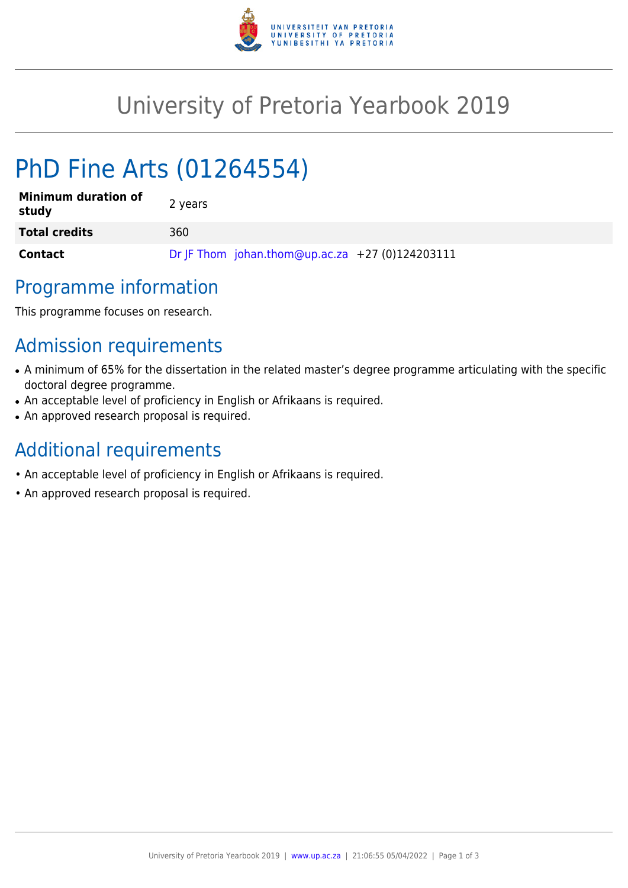

## University of Pretoria Yearbook 2019

# PhD Fine Arts (01264554)

| <b>Minimum duration of</b><br>study | 2 years                                         |
|-------------------------------------|-------------------------------------------------|
| <b>Total credits</b>                | 360                                             |
| <b>Contact</b>                      | Dr JF Thom johan.thom@up.ac.za +27 (0)124203111 |

### Programme information

This programme focuses on research.

## Admission requirements

- A minimum of 65% for the dissertation in the related master's degree programme articulating with the specific doctoral degree programme.
- An acceptable level of proficiency in English or Afrikaans is required.
- An approved research proposal is required.

#### Additional requirements

- An acceptable level of proficiency in English or Afrikaans is required.
- An approved research proposal is required.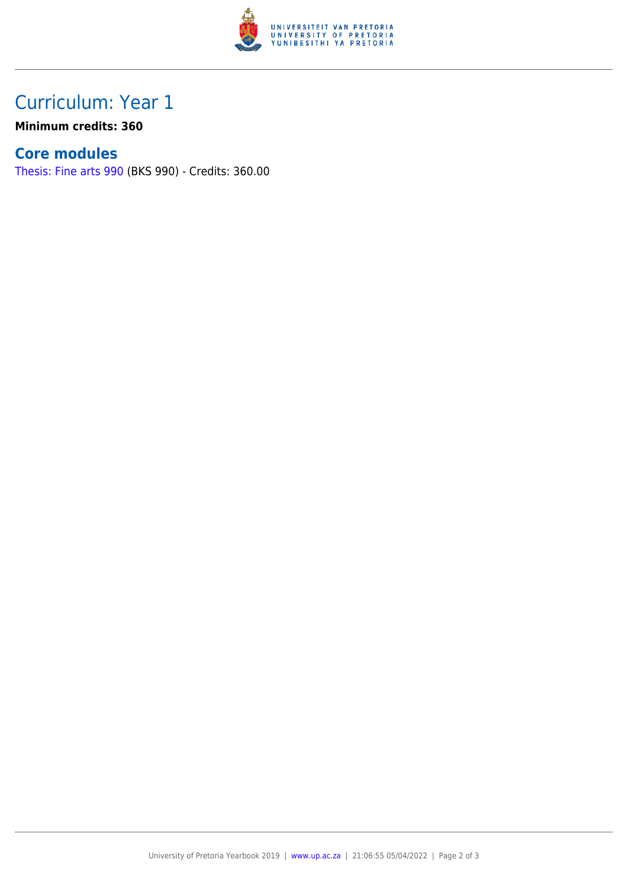

### Curriculum: Year 1

**Minimum credits: 360**

#### **Core modules**

[Thesis: Fine arts 990](https://www.up.ac.za/yearbooks/2019/modules/view/BKS 990) (BKS 990) - Credits: 360.00